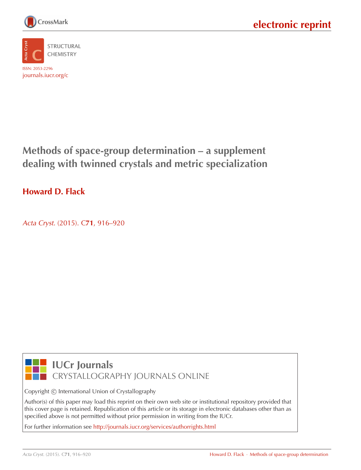



**Methods of space-group determination – a supplement dealing with twinned crystals and metric specialization**

### **Howard D. Flack**

Acta Cryst. (2015). C**71**[, 916–920](http://dx.doi.org/10.1107/S2053229615017325)



**IUCr Journals** CRYSTALLOGRAPHY JOURNALS ONLINE

Copyright © International Union of Crystallography

Author(s) of this paper may load this reprint on their own web site or institutional repository provided that this cover page is retained. Republication of this article or its storage in electronic databases other than as specified above is not permitted without prior permission in writing from the IUCr.

For further information see <http://journals.iucr.org/services/authorrights.html>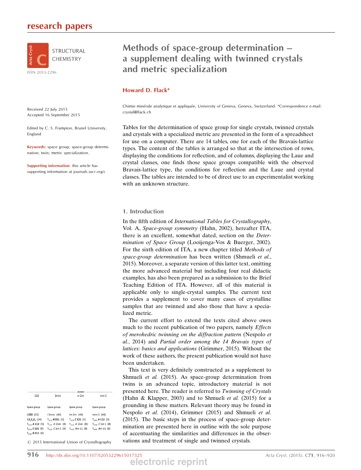

Received 22 July 2015 Accepted 16 September 2015

Edited by C. S. Frampton, Brunel University, England

Keywords: space group; space-group determination; twin; metric specialization.

Supporting information: this article has supporting information at journals.iucr.org/c

### Methods of space-group determination – a supplement dealing with twinned crystals and metric specialization

### Howard D. Flack\*

Chimie minérale analytique et appliquée, University of Geneva, Geneva, Switzerland. \*Correspondence e-mail: crystal@flack.ch

Tables for the determination of space group for single crystals, twinned crystals and crystals with a specialized metric are presented in the form of a spreadsheet for use on a computer. There are 14 tables, one for each of the Bravais-lattice types. The content of the tables is arranged so that at the intersection of rows, displaying the conditions for reflection, and of columns, displaying the Laue and crystal classes, one finds those space groups compatible with the observed Bravais-lattice type, the conditions for reflection and the Laue and crystal classes. The tables are intended to be of direct use to an experimentalist working with an unknown structure.

### 1. Introduction

In the fifth edition of International Tables for Crystallography, Vol. A, Space-group symmetry (Hahn, 2002), hereafter ITA, there is an excellent, somewhat dated, section on the Determination of Space Group (Looijenga-Vos & Buerger, 2002). For the sixth edition of ITA, a new chapter titled Methods of space-group determination has been written (Shmueli et al., 2015). Moreover, a separate version of this latter text, omitting the more advanced material but including four real didactic examples, has also been prepared as a submission to the Brief Teaching Edition of ITA. However, all of this material is applicable only to single-crystal samples. The current text provides a supplement to cover many cases of crystalline samples that are twinned and also those that have a specialized metric.

The current effort to extend the texts cited above owes much to the recent publication of two papers, namely Effects of merohedric twinning on the diffraction pattern (Nespolo et al., 2014) and Partial order among the 14 Bravais types of lattices: basics and applications (Grimmer, 2015). Without the work of these authors, the present publication would not have been undertaken.

This text is very definitely constructed as a supplement to Shmueli et al. (2015). As space-group determination from twins is an advanced topic, introductory material is not presented here. The reader is referred to Twinning of Crystals (Hahn & Klapper, 2003) and to Shmueli et al. (2015) for a grounding in these matters. Relevant theory may be found in Nespolo et al. (2014), Grimmer (2015) and Shmueli et al. (2015). The basic steps in the process of space-group determination are presented here in outline with the sole purpose of accentuating the similarities and differences in the observations and treatment of single and twinned crystals.

|                     |                      | ттт                        |                            |  |  |
|---------------------|----------------------|----------------------------|----------------------------|--|--|
| 222                 | 2mm                  | m2m                        | mm <sub>2</sub>            |  |  |
| Space group         | Space group          | Space group                | Space group                |  |  |
| (222 (23)           | $12mm$ (44)          | Im 2m (44)                 | lmm 2(44)                  |  |  |
| 12, 2, 2, (24)      | $T_{m15}$ B 211 (5)  | $T_{m14} C 121$ (5)        | $T_{m13}$ A 112 (5)        |  |  |
| $T_{m13}$ A 112 (5) | $T_{m13}$ A 11m (8)  | $T_{m13}$ A 11m (8)        | $T_{m14}$ $C1m1$ (8)       |  |  |
| $T_{m14} C 121$ (5) | $T_{m14}$ C 1m 1 (8) | $T_{m15}$ <i>Bm</i> 11 (8) | $T_{m15}$ <i>Bm</i> 11 (8) |  |  |
| $T_{m15} B 211 (5)$ |                      |                            |                            |  |  |

 $\odot$  2015 International Union of Crystallography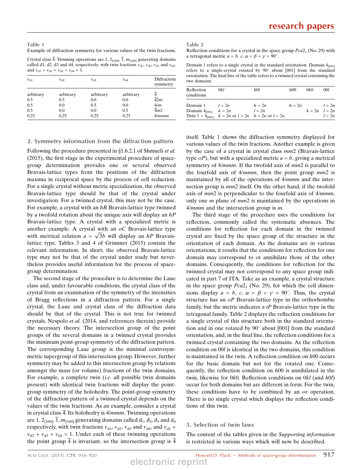Table 1 Example of diffraction symmetry for various values of the twin fractions.

Crystal class  $\overline{4}$ . Twinning operations are 1, 2<sub>[100]</sub>,  $\overline{1}$ ,  $m_{[100]}$  generating domains called d1, d2, d3 and d4, respectively, with twin fractions  $v_{d1}$ ,  $v_{d2}$ ,  $v_{d3}$  and  $v_{d4}$ , and  $v_{d1} + v_{d2} + v_{d3} + v_{d4} = 1$ .

| $v_{d1}$  | $v_{d2}$  | $v_{d3}$  | $v_{\rm d4}$ | Diffraction<br>symmetry |  |
|-----------|-----------|-----------|--------------|-------------------------|--|
| arbitrary | arbitrary | arbitrary | arbitrary    |                         |  |
| 0.5       | 0.5       | 0.0       | 0.0          | $\overline{4}2m$        |  |
| 0.5       | 0.0       | 0.5       | 0.0          | 4/m                     |  |
| 0.5       | 0.0       | 0.0       | 0.5          | $\overline{4}m2$        |  |
| 0.25      | 0.25      | 0.25      | 0.25         | 4/mmm                   |  |

### 2. Symmetry information from the diffraction pattern

Following the procedure presented in  $\S1.6.2.1$  of Shmueli *et al.* (2015), the first stage in the experimental procedure of spacegroup determination provides one or several observed Bravais-lattice types from the positions of the diffraction maxima in reciprocal space by the process of cell reduction. For a single crystal without metric specialization, the observed Bravais-lattice type should be that of the crystal under investigation. For a twinned crystal, this may not be the case. For example, a crystal with an  $hR$  Bravais-lattice type twinned by a twofold rotation about the unique axis will display an  $hP$ Bravais-lattice type. A crystal with a specialized metric is another example. A crystal with an  $oC$  Bravais-lattice type another example. A crystal with an  $oC$  Bravais-lattice type with metrical relation  $a = \sqrt{3}b$  will display an  $hP$  Bravaislattice type. Tables 3 and 4 of Grimmer (2015) contain the relevant information. In short, the observed Bravais-lattice type may not be that of the crystal under study but nevertheless provides useful information for the process of spacegroup determination.

The second stage of the procedure is to determine the Laue class and, under favourable conditions, the crystal class of the crystal from an examination of the symmetry of the intensities of Bragg reflections in a diffraction pattern. For a single crystal, the Laue and crystal class of the diffraction data should be that of the crystal. This is not true for twinned crystals. Nespolo et al. (2014, and references therein) provide the necessary theory. The intersection group of the point groups of the several domains in a twinned crystal provides the minimum point-group symmetry of the diffraction pattern. The corresponding Laue group is the minimal centrosymmetric supergroup of this intersection group. However, further symmetry may be added to this intersection group by relations amongst the mass (or volume) fractions of the twin domains. For example, a complete twin *(i.e.* all possible twin domains present) with identical twin fractions will display the pointgroup symmetry of the holohedry. The point-group symmetry of the diffraction pattern of a twinned crystal depends on the values of the twin fractions. As an example, consider a crystal in crystal class  $\overline{4}$ . Its holohedry is  $4/mmm$ . Twinning operations are 1,  $2_{[100]}$ ,  $\overline{1}$ ,  $m_{[100]}$  generating domains called  $d_1$ ,  $d_2$ ,  $d_3$  and  $d_4$ respectively, with twin fractions  $v_{d1}$ ,  $v_{d2}$ ,  $v_{d3}$  and  $v_{d4}$ , and  $v_{d1}$  +  $v_{d2} + v_{d3} + v_{d4} = 1$ . Under each of these twinning operations the point group  $\frac{1}{4}$  is invariant, so the intersection group is  $\frac{1}{4}$ 

#### Table 2

Reflection conditions for a crystal in the space group  $Pca2<sub>1</sub>$  (No. 29) with a tetragonal metric  $a = b$ ,  $c$ ,  $\alpha = \beta = \gamma = 90^{\circ}$ .

Domain 1 refers to a single crystal in the standard orientation. Domain  $4_{[001]}$ refers to a single-crystal rotated by  $90^{\circ}$  about  $[001]$  from the standard orientation. The final line of the table refers to a twinned crystal containing the two domains.

| Reflection<br>conditions                         | 0kl                                                            | hOl                | h00    | 0k0               | 001                |
|--------------------------------------------------|----------------------------------------------------------------|--------------------|--------|-------------------|--------------------|
| Domain 1 $l = 2n$<br>Domain $4_{[001]}$ $k = 2n$ | Twin $1 + 4_{[001]}$ $k = 2n$ or $l = 2n$ $h = 2n$ or $l = 2n$ | $h=2n$<br>$l = 2n$ | $h=2n$ | $k = 2n$ $l = 2n$ | $l = 2n$<br>$l=2n$ |

itself. Table 1 shows the diffraction symmetry displayed for various values of the twin fractions. Another example is given by the case of a crystal in crystal class  $mm2$  (Bravais-lattice type  $oP$ ), but with a specialized metric  $a = b$ , giving a metrical symmetry of 4/*mmm*. If the twofold axis of *mm*2 is parallel to the fourfold axis of  $4/mmm$ , then the point group  $mm2$  is maintained by all of the operations of  $4/mmm$  and the intersection group is  $mm2$  itself. On the other hand, if the twofold axis of  $mm2$  is perpendicular to the fourfold axis of  $4/mmm$ , only one *m* plane of *mm*2 is maintained by the operations in  $4/mmm$  and the intersection group is  $m$ .

The third stage of the procedure uses the conditions for reflection, commonly called the systematic absences. The conditions for reflection for each domain in the twinned crystal are fixed by the space group of the structure in the orientation of each domain. As the domains are in various orientations, it results that the conditions for reflection for one domain may correspond to or annihilate those of the other domains. Consequently, the conditions for reflection for the twinned crystal may not correspond to any space group indicated in part 7 of ITA. Take as an example, a crystal structure in the space group  $Pca2<sub>1</sub>$  (No. 29), for which the cell dimensions display  $a = b$ ,  $c$ ,  $\alpha = \beta = \gamma = 90^{\circ}$ . Thus, the crystal structure has an  $oP$  Bravais-lattice type in the orthorhombic family, but the metric indicates a  $tP$  Bravais-lattice type in the tetragonal family. Table 2 displays the reflection conditions for a single crystal of this structure both in the standard orientation and in one rotated by  $90^{\circ}$  about [001] from the standard orientation, and, in the final line, the reflection conditions for a twinned crystal containing the two domains. As the reflection condition on 00l is identical in the two domains, this condition is maintained in the twin. A reflection condition on  $h00$  occurs for the basic domain but not for the rotated one. Consequently, the reflection condition on  $h00$  is annihilated in the twin, likewise for  $0k0$ . Reflection conditions on  $0kl$  (and  $h0l$ ) occur for both domains but are different in form. For the twin, these conditions have to be combined by an *or* operation. There is no single crystal which displays the reflection conditions of this twin.

### 3. Selection of twin laws

The content of the tables given in the Supporting information is restricted in various ways which will now be described.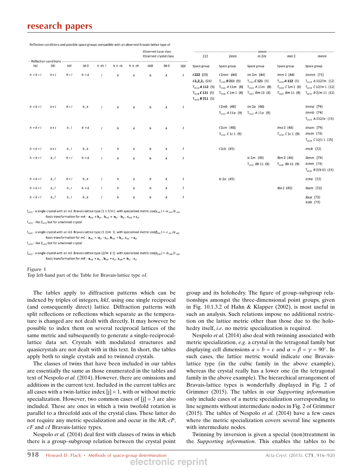### research papers

Reflection conditions and possible space groups compatible with an observed Brayais-lattice type of

|                                 |         |       |         |            |                  |                  | Observed Laue class | Observed crystal class |          | 222                                        | 2mm                                        | mm<br>m2m                                  | mm <sub>2</sub>                             | mmm                                                     |
|---------------------------------|---------|-------|---------|------------|------------------|------------------|---------------------|------------------------|----------|--------------------------------------------|--------------------------------------------|--------------------------------------------|---------------------------------------------|---------------------------------------------------------|
| -- Reflection conditions<br>hkl | 0kl     | hOl   | hk0     | $h \pm h$  | $h k \pm k$      | $h k \pm h$      | h00                 | 0k0                    | 001      | Space group                                | Space group                                | Space group                                | Space group                                 | Space group                                             |
| $h + k + l$                     | $k+1$   | $h+1$ | $h + k$ | $\prime$   | $\hbar$          | $\boldsymbol{k}$ | $\hbar$             | $\boldsymbol{k}$       |          | 1222(23)                                   | $12mm$ (44)                                | Im 2m (44)                                 | lmm 2 (44)                                  | $Immm$ (71)                                             |
|                                 |         |       |         |            |                  |                  |                     |                        |          | $12_12_12_1$ (24)<br>$T_{m13}$ A 112 (5)   | $T_{m15} B 211 (5)$<br>$T_{m13}$ A 11m (8) | $T_{m14} C 121$ (5)<br>$T_{m13}$ A 11m (8) | $T_{m13}$ A 112 (5)<br>$T_{m14}$ C 1m 1 (8) | $T_{m13}$ A 112/m (12)<br>$T_{m14}$ C 12/m 1 (12)       |
|                                 |         |       |         |            |                  |                  |                     |                        |          | $T_{m14} C 121 (5)$<br>$T_{m15} B 211 (5)$ | $T_{m14}$ C 1m 1 (8)                       | $T_{m15}$ <i>Bm</i> 11 (8)                 | $T_{m15}$ <i>Bm</i> 11 (8)                  | $T_{m15}$ B 2/m 11 (12)                                 |
| $h + k + l$                     | $k+1$   | $h+1$ | h, k    | $\sqrt{ }$ | $\hbar$          | $\boldsymbol{k}$ | $\hbar$             | $\boldsymbol{k}$       | $\prime$ |                                            | $12mb$ (46)<br>$T_{m13}$ A 11a (9)         | $Im 2a$ (46)<br>$T_{m13}$ A 11a (9)        |                                             | $Imma$ (74)<br>$Immb$ (74)<br>$T_{m13}$ A 112/a (15)    |
| $h + k + l$                     | $k + l$ | h, l  | $h + k$ | $\prime$   | $\boldsymbol{h}$ | $\boldsymbol{k}$ | $\hbar$             | $\boldsymbol{k}$       | $\prime$ |                                            | $12cm$ (46)<br>$T_{m14}$ C 1c 1 (9)        |                                            | $Ima 2$ (46)<br>$T_{m14}$ C 1c 1 (9)        | $lmm$ (74)<br>$Imcm$ (74)<br>$T_{m14}$ C12/c1 (15)      |
| $h + k + l$                     | $k+1$   | h, l  | h, k    |            | $\boldsymbol{h}$ | $\boldsymbol{k}$ | h                   | k                      | $\prime$ |                                            | $12cb$ (45)                                |                                            |                                             | $Imcb$ (72)                                             |
| $h + k + l$                     | k, l    | $h+1$ | $h + k$ | $\prime$   | h                | $\boldsymbol{k}$ | $\hbar$             | k                      | $\prime$ |                                            |                                            | $lc 2m$ (46)<br>$T_{m15}$ <i>Bb</i> 11 (9) | $lbm 2$ (46)<br>$T_{m15}$ <i>Bb</i> 11 (9)  | $lbmm$ (74)<br>$lcmm$ (74)<br>$T_{m15}$ $B$ 2/b 11 (15) |
| $h + k + l$                     | k, l    | $h+1$ | h, k    |            | h                | $\boldsymbol{k}$ | $\boldsymbol{h}$    | k                      | $\prime$ |                                            | $lc$ 2a (45)                               |                                            |                                             | $lcma$ (72)                                             |
| $h + k + l$                     | k, l    | h, l  | $h + k$ | $\prime$   | $\boldsymbol{h}$ | $\boldsymbol{k}$ | $\boldsymbol{h}$    | $\boldsymbol{k}$       | $\prime$ |                                            |                                            |                                            | Iba 2(45)                                   | lbam(72)                                                |
| $h+k+l$                         | k, l    | h, l  | h, k    | $\prime$   | $\boldsymbol{h}$ | $\boldsymbol{k}$ | $\boldsymbol{h}$    | $\boldsymbol{k}$       | $\prime$ |                                            |                                            |                                            |                                             | $lbca$ (73)<br>$lcab$ (73)                              |
|                                 |         |       |         |            |                  |                  |                     |                        |          |                                            |                                            |                                            |                                             |                                                         |

 $Z_{m13}$  - a single crystal with an mS Bravais-lattice type (1 1 2/m) with specialized metric cos( $y_{mA}$ ) = - $a_{mA}/b_{mA}$ 

Basis transformation for  $mA$  :  ${\bf a}_{mA}={\bf b}_{ol}$  ,  $\,{\bf b}_{mA}=-{\bf a}_{ol}$  -  ${\bf b}_{ol}$  ,  $\,{\bf c}_{mA}={\bf c}_{ol}$ 

 $T_{m13}$  - like  $Z_{m13}$  but for a twinned crystal

 $Z_{m14}$  - a single crystal with an mS Bravais-lattice type (1 2/m 1) with specialized metric cos( $\beta_{mc}$ ) = -c<sub>mc</sub>/a<sub>mC</sub> Basis transformation for  $mC$ :  $\mathbf{a}_{mC} = -\mathbf{a}_{ol} - \mathbf{c}_{ol}$ ,  $\mathbf{b}_{mC} = \mathbf{b}_{ol}$ ,  $\mathbf{c}_{mC} = \mathbf{a}_{ol}$ 

 $T_{m14}$  - like  $Z_{m14}$  but for a twinned crystal

 $Z_{m15}$  - a single crystal with an mS Bravais-lattice type (2/m 11) with specialized metric  $cos(\alpha_{mB}) = -b_{mB}/c_{mB}$ Basis transformation for  $mB$ :  $a_{mB} = a_{ol}$ ,  $b_{mB} = c_{ol}$ ,  $c_{mB} = -b_{ol} - c_{ol}$ 

Figure 1

Top left-hand part of the Table for Bravais-lattice type oI.

The tables apply to diffraction patterns which can be indexed by triples of integers, hkl, using one single reciprocal (and consequently direct) lattice. Diffraction patterns with split reflections or reflections which separate as the temperature is changed are not dealt with directly. It may however be possible to index them on several reciprocal lattices of the same metric and subsequently to generate a single-reciprocallattice data set. Crystals with modulated structures and quasicrystals are not dealt with in this text. In short, the tables apply both to single crystals and to twinned crystals.

The classes of twins that have been included in our tables are essentially the same as those enumerated in the tables and text of Nespolo et al. (2014). However, there are omissions and additions in the current text. Included in the current tables are all cases with a twin-lattice index  $[i] = 1$ , with or without metric specialization. However, two common cases of  $[i] = 3$  are also included. These are ones in which a twin twofold rotation is parallel to a threefold axis of the crystal class. These latter do not require any metric specialization and occur in the  $hR$ ,  $cP$ , cF and cI Bravais-lattice types.

Nespolo et al. (2014) deal first with classes of twins in which there is a group–subgroup relation between the crystal point group and its holohedry. The figure of group–subgroup relationships amongst the three-dimensional point groups, given in Fig. 10.1.3.2 of Hahn & Klapper (2002), is most useful in such an analysis. Such relations impose no additional restriction on the lattice metric other than those due to the holohedry itself, *i.e.* no metric specialization is required.

Nespolo et al. (2014) also deal with twinning associated with metric specialization, e.g. a crystal in the tetragonal family but displaying cell dimensions  $a = b = c$  and  $\alpha = \beta = \gamma = 90^{\circ}$ . In such cases, the lattice metric would indicate one Bravaislattice type (in the cubic family in the above example), whereas the crystal really has a lower one (in the tetragonal family in the above example). The hierarchical arrangement of Bravais-lattice types is wonderfully displayed in Fig. 2 of Grimmer (2015). The tables in our Supporting information only include cases of a metric specialization corresponding to line segments without intermediate nodes in Fig. 2 of Grimmer  $(2015)$ . The tables of Nespolo *et al.*  $(2014)$  have a few cases where the metric specialization covers several line segments with intermediate nodes.

Twinning by inversion is given a special (non)treatment in the Supporting information. This enables the tables to be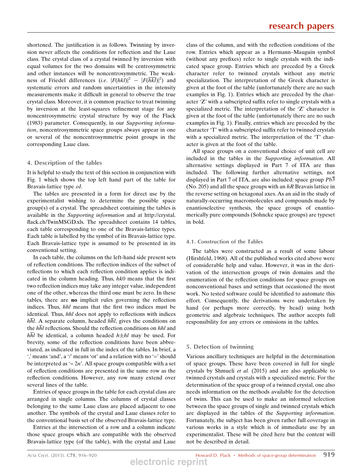shortened. The justification is as follows. Twinning by inversion never affects the conditions for reflection and the Laue class. The crystal class of a crystal twinned by inversion with equal volumes for the two domains will be centrosymmetric and other instances will be noncentrosymmetric. The weakness of Friedel differences (*i.e.*  $|F(hkl)|^2 - |F(\overline{hkl})|^2$ ) and systematic errors and random uncertainties in the intensity measurements make it difficult in general to observe the true crystal class. Moreover, it is common practice to treat twinning by inversion at the least-squares refinement stage for any noncentrosymmetric crystal structure by way of the Flack (1983) parameter. Consequently, in our Supporting information, noncentrosymmetric space groups always appear in one or several of the noncentrosymmetric point groups in the corresponding Laue class.

### 4. Description of the tables

It is helpful to study the text of this section in conjunction with Fig. 1 which shows the top left hand part of the table for Bravais-lattice type oI.

The tables are presented in a form for direct use by the experimentalist wishing to determine the possible space group(s) of a crystal. The spreadsheet containing the tables is available in the Supporting information and at http://crystal. flack.ch/TwinMSGD.xls. The spreadsheet contains 14 tables, each table corresponding to one of the Bravais-lattice types. Each table is labelled by the symbol of its Bravais-lattice type. Each Bravais-lattice type is assumed to be presented in its conventional setting.

In each table, the columns on the left-hand side present sets of reflection conditions. The reflection indices of the subset of reflections to which each reflection condition applies is indicated in the column heading. Thus,  $hk0$  means that the first two reflection indices may take any integer value, independent one of the other, whereas the third one must be zero. In these tables, there are no implicit rules governing the reflection indices. Thus, hhl means that the first two indices must be identical. Thus, hhl does not apply to reflections with indices  $h\overline{h}l$ . A separate column, headed  $h\overline{h}l$ , gives the conditions on the  $h\overline{h}l$  reflections. Should the reflection conditions on hhl and  $h\overline{h}l$  be identical, a column headed  $h\pm hl$  may be used. For brevity, some of the reflection conditions have been abbreviated, as indicated in full in the index of the tables. In brief, a ',' means 'and', a '/' means 'or' and a relation with no '=' should be interpreted as  $= 2n$ . All space groups compatible with a set of reflection conditions are presented in the same row as the reflection conditions. However, any row many extend over several lines of the table.

Entries of space groups in the table for each crystal class are arranged in single columns. The columns of crystal classes belonging to the same Laue class are placed adjacent to one another. The symbols of the crystal and Laue classes refer to the conventional basis set of the observed Bravais-lattice type.

Entries at the intersection of a row and a column indicate those space groups which are compatible with the observed Bravais-lattice type (of the table), with the crystal and Laue class of the column, and with the reflection conditions of the row. Entries which appear as a Hermann–Mauguin symbol (without any prefixes) refer to single crystals with the indicated space group. Entries which are preceded by a Greek character refer to twinned crystals without any metric specialization. The interpretation of the Greek character is given at the foot of the table (unfortunately there are no such examples in Fig. 1). Entries which are preceded by the character 'Z' with a subscripted suffix refer to single crystals with a specialized metric. The interpretation of the 'Z' character is given at the foot of the table (unfortunately there are no such examples in Fig. 1). Finally, entries which are preceded by the character 'T' with a subscripted suffix refer to twinned crystals with a specialized metric. The interpretation of the 'T' character is given at the foot of the table.

All space groups on a conventional choice of unit cell are included in the tables in the Supporting information. All alternative settings displayed in Part 7 of ITA are thus included. The following further alternative settings, not displayed in Part 7 of ITA, are also included: space group Pb3 (No. 205) and all the space groups with an  $hR$  Bravais lattice in the reverse setting on hexagonal axes. As an aid in the study of naturally-occurring macromolecules and compounds made by enantioselective synthesis, the space groups of enantiomerically pure compounds (Sohncke space groups) are typeset in bold.

### 4.1. Construction of the Tables

The tables were constructed as a result of some labour (Hirshfeld, 1968). All of the published works cited above were of considerable help and value. However, it was in the derivation of the intersection groups of twin domains and the enumeration of the reflection conditions for space groups on nonconventional bases and settings that occasioned the most work. No tested software could be identified to automate this effort. Consequently, the derivations were undertaken by hand (or perhaps more correctly, by head) using both geometric and algebraic techniques. The author accepts full responsibility for any errors or omissions in the tables.

### 5. Detection of twinning

Various ancillary techniques are helpful in the determination of space groups. These have been covered in full for single crystals by Shmueli et al. (2015) and are also applicable to twinned crystals and crystals with a specialized metric. For the determination of the space group of a twinned crystal, one also needs information on the methods available for the detection of twins. This can be used to make an informed selection between the space groups of single and twinned crystals which are displayed in the tables of the Supporting information. Fortunately, the subject has been given rather full coverage in various works in a style which is of immediate use by an experimentalist. These will be cited here but the content will not be described in detail.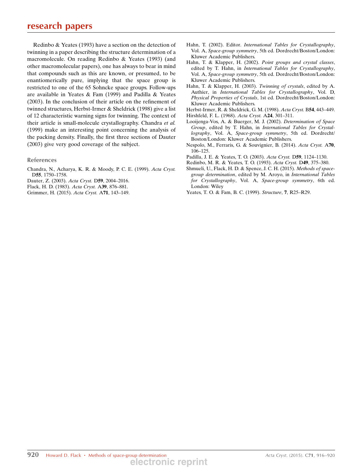Redinbo & Yeates (1993) have a section on the detection of twinning in a paper describing the structure determination of a macromolecule. On reading Redinbo & Yeates (1993) (and other macromolecular papers), one has always to bear in mind that compounds such as this are known, or presumed, to be enantiomerically pure, implying that the space group is restricted to one of the 65 Sohncke space groups. Follow-ups are available in Yeates & Fam (1999) and Padilla & Yeates (2003). In the conclusion of their article on the refinement of twinned structures, Herbst-Irmer & Sheldrick (1998) give a list of 12 characteristic warning signs for twinning. The context of their article is small-molecule crystallography. Chandra et al. (1999) make an interesting point concerning the analysis of the packing density. Finally, the first three sections of Dauter (2003) give very good coverage of the subject.

#### **References**

- Chandra, N., Acharya, K. R. & Moody, P. C. E. (1999). Acta Cryst. D55, 1750–1758.
- Dauter, Z. (2003). Acta Cryst. D59, 2004–2016.
- Flack, H. D. (1983). Acta Cryst. A39, 876–881.
- Grimmer, H. (2015). Acta Cryst. A71, 143–149.
- Hahn, T. (2002). Editor. International Tables for Crystallography, Vol. A, Space-group symmetry, 5th ed. Dordrecht/Boston/London: Kluwer Academic Publishers.
- Hahn, T. & Klapper, H. (2002). Point groups and crystal classes, edited by T. Hahn, in International Tables for Crystallography, Vol. A, Space-group symmetry, 5th ed. Dordrecht/Boston/London: Kluwer Academic Publishers.
- Hahn, T. & Klapper, H. (2003). Twinning of crystals, edited by A. Authier, in International Tables for Crystallography, Vol. D, Physical Properties of Crystals, 1st ed. Dordrecht/Boston/London: Kluwer Academic Publishers.
- Herbst-Irmer, R. & Sheldrick, G. M. (1998). Acta Cryst. B54, 443–449.
- Hirshfeld, F. L. (1968). Acta Cryst. A24, 301–311.
- Looijenga-Vos, A. & Buerger, M. J. (2002). Determination of Space Group, edited by T. Hahn, in International Tables for Crystallography, Vol. A, Space-group symmetry, 5th ed. Dordrecht/ Boston/London: Kluwer Academic Publishers.
- Nespolo, M., Ferraris, G. & Souvignier, B. (2014). Acta Cryst. A70, 106–125.
- Padilla, J. E. & Yeates, T. O. (2003). Acta Cryst. D59, 1124–1130.
- Redinbo, M. R. & Yeates, T. O. (1993). Acta Cryst. D49, 375–380.
- Shmueli, U., Flack, H. D. & Spence, J. C. H. (2015). Methods of spacegroup determination, edited by M. Aroyo, in International Tables for Crystallography, Vol. A, Space-group symmetry, 6th ed. London: Wiley
- Yeates, T. O. & Fam, B. C. (1999). Structure, 7, R25–R29.